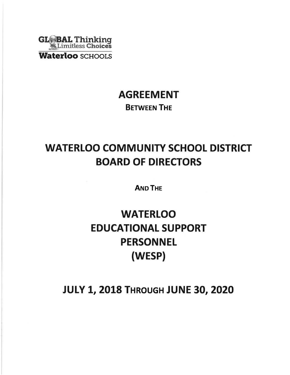

# AGREEMENT BETWEEN THE

# WATERLOO COMMUNITY SCHOOL DISTRICT BOARD OF DIRECTORS

AND THE

# **WATERLOO** EDUCATIONAL SUPPORT PERSONNEL (WESP)

# **JULY 1, 2018 THROUGH JUNE 30, 2020**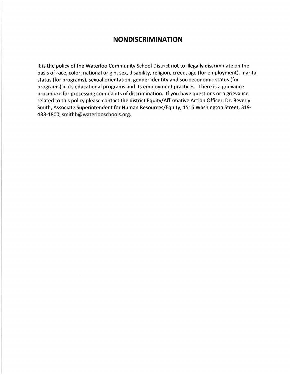## **NONDISCRIMINATION**

It is the policy of the Waterloo Community School District not to illegally discriminate on the basis of race, color, national origin, sex, disability, religion, creed, age (for employment), marital status (for programs), sexual orientation, gender identity and socioeconomic status (for programs) in its educational programs and its employment practices. There is a grievance procedure for processing complaints of discrimination. If you have questions or a grievance related to this policy please contact the district Equity/Affirmative Action Officer, Dr. Beverly Smith, Associate Superintendent for Human Resources/Equity, 1516 Washington Street, 319- 433-1800, smithb@waterlooschools.org.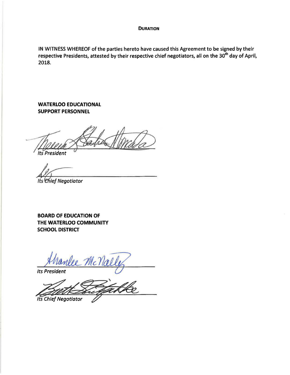#### **DURATION**

IN WITNESS WHEREOF of the parties hereto have caused this Agreement to be signed by their respective Presidents, attested by their respective chief negotiators, all on the 30<sup>th</sup> day of April, 2018.

**WATERLOO EDUCATIONAL SUPPORT PERSONNEL** 

**Its President** 

Its Chief Negotiator

**BOARD OF EDUCATION OF THE WATERLOO COMMUNITY SCHOOL DISTRICT** 

re McNa **Its President** 

He **Its Chief Negotiator**